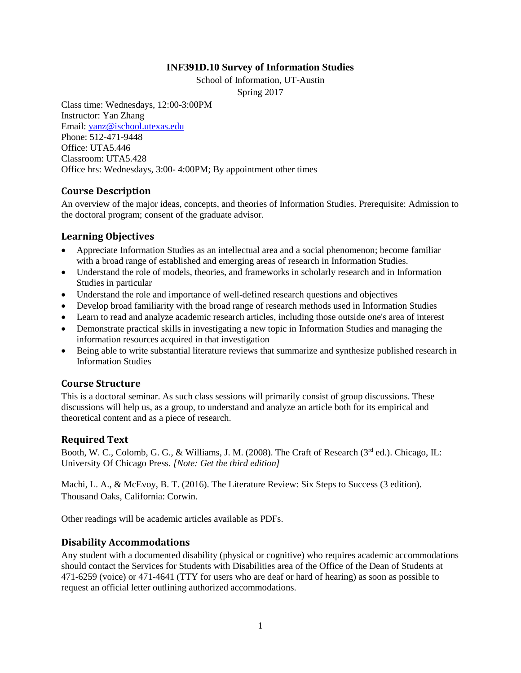### **INF391D.10 Survey of Information Studies**

School of Information, UT-Austin

Spring 2017

Class time: Wednesdays, 12:00-3:00PM Instructor: Yan Zhang Email: [yanz@ischool.utexas.edu](mailto:yanz@ischool.utexas.edu) Phone: 512-471-9448 Office: UTA5.446 Classroom: UTA5.428 Office hrs: Wednesdays, 3:00- 4:00PM; By appointment other times

### **Course Description**

An overview of the major ideas, concepts, and theories of Information Studies. Prerequisite: Admission to the doctoral program; consent of the graduate advisor.

### **Learning Objectives**

- Appreciate Information Studies as an intellectual area and a social phenomenon; become familiar with a broad range of established and emerging areas of research in Information Studies.
- Understand the role of models, theories, and frameworks in scholarly research and in Information Studies in particular
- Understand the role and importance of well-defined research questions and objectives
- Develop broad familiarity with the broad range of research methods used in Information Studies
- Learn to read and analyze academic research articles, including those outside one's area of interest
- Demonstrate practical skills in investigating a new topic in Information Studies and managing the information resources acquired in that investigation
- Being able to write substantial literature reviews that summarize and synthesize published research in Information Studies

# **Course Structure**

This is a doctoral seminar. As such class sessions will primarily consist of group discussions. These discussions will help us, as a group, to understand and analyze an article both for its empirical and theoretical content and as a piece of research.

# **Required Text**

Booth, W. C., Colomb, G. G., & Williams, J. M. (2008). The Craft of Research ( $3<sup>rd</sup>$  ed.). Chicago, IL: University Of Chicago Press. *[Note: Get the third edition]*

Machi, L. A., & McEvoy, B. T. (2016). The Literature Review: Six Steps to Success (3 edition). Thousand Oaks, California: Corwin.

Other readings will be academic articles available as PDFs.

# **Disability Accommodations**

Any student with a documented disability (physical or cognitive) who requires academic accommodations should contact the Services for Students with Disabilities area of the Office of the Dean of Students at 471-6259 (voice) or 471-4641 (TTY for users who are deaf or hard of hearing) as soon as possible to request an official letter outlining authorized accommodations.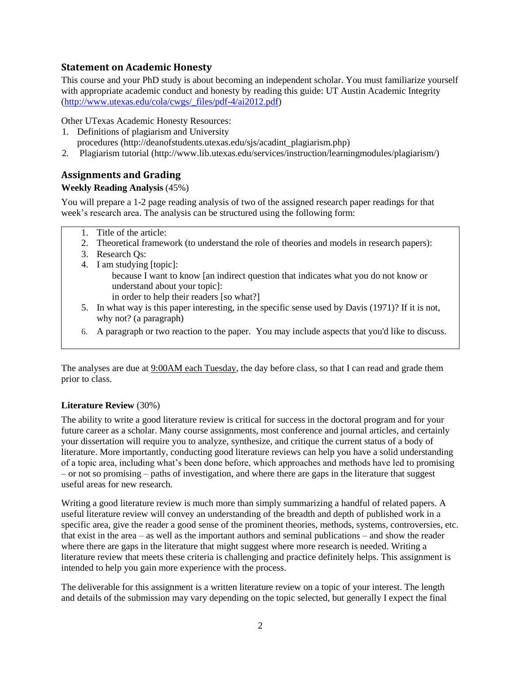### **Statement on Academic Honesty**

This course and your PhD study is about becoming an independent scholar. You must familiarize yourself with appropriate academic conduct and honesty by reading this guide: UT Austin Academic Integrity [\(http://www.utexas.edu/cola/cwgs/\\_files/pdf-4/ai2012.pdf\)](http://www.utexas.edu/cola/cwgs/_files/pdf-4/ai2012.pdf)

Other UTexas Academic Honesty Resources:

- 1. Definitions of plagiarism and University procedures (http://deanofstudents.utexas.edu/sjs/acadint\_plagiarism.php)
- 2. Plagiarism tutorial (http://www.lib.utexas.edu/services/instruction/learningmodules/plagiarism/)

# **Assignments and Grading**

### **Weekly Reading Analysis** (45%)

You will prepare a 1-2 page reading analysis of two of the assigned research paper readings for that week's research area. The analysis can be structured using the following form:

- 1. Title of the article:
- 2. Theoretical framework (to understand the role of theories and models in research papers):
- 3. Research Qs:
- 4. I am studying [topic]: because I want to know [an indirect question that indicates what you do not know or understand about your topic]: in order to help their readers [so what?]
- 5. In what way is this paper interesting, in the specific sense used by Davis (1971)? If it is not, why not? (a paragraph)
- 6. A paragraph or two reaction to the paper. You may include aspects that you'd like to discuss.

The analyses are due at  $9:00AM$  each Tuesday, the day before class, so that I can read and grade them prior to class.

### **Literature Review** (30%)

The ability to write a good literature review is critical for success in the doctoral program and for your future career as a scholar. Many course assignments, most conference and journal articles, and certainly your dissertation will require you to analyze, synthesize, and critique the current status of a body of literature. More importantly, conducting good literature reviews can help you have a solid understanding of a topic area, including what's been done before, which approaches and methods have led to promising – or not so promising – paths of investigation, and where there are gaps in the literature that suggest useful areas for new research.

Writing a good literature review is much more than simply summarizing a handful of related papers. A useful literature review will convey an understanding of the breadth and depth of published work in a specific area, give the reader a good sense of the prominent theories, methods, systems, controversies, etc. that exist in the area – as well as the important authors and seminal publications – and show the reader where there are gaps in the literature that might suggest where more research is needed. Writing a literature review that meets these criteria is challenging and practice definitely helps. This assignment is intended to help you gain more experience with the process.

The deliverable for this assignment is a written literature review on a topic of your interest. The length and details of the submission may vary depending on the topic selected, but generally I expect the final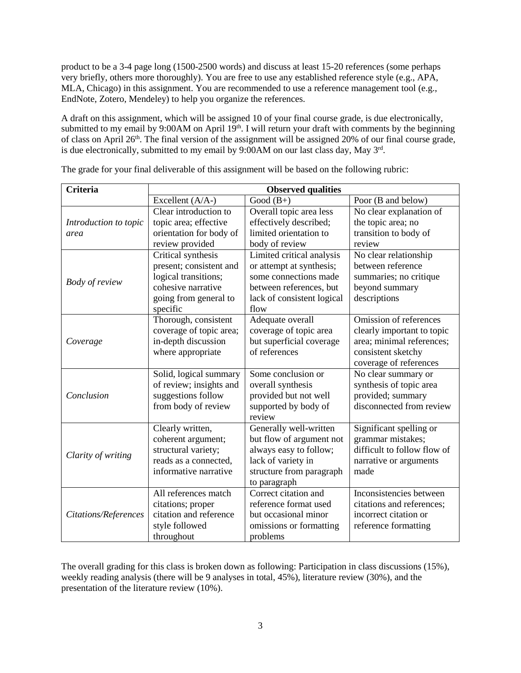product to be a 3-4 page long (1500-2500 words) and discuss at least 15-20 references (some perhaps very briefly, others more thoroughly). You are free to use any established reference style (e.g., APA, MLA, Chicago) in this assignment. You are recommended to use a reference management tool (e.g., EndNote, Zotero, Mendeley) to help you organize the references.

A draft on this assignment, which will be assigned 10 of your final course grade, is due electronically, submitted to my email by  $9:00AM$  on April  $19<sup>th</sup>$ . I will return your draft with comments by the beginning of class on April 26<sup>th</sup>. The final version of the assignment will be assigned 20% of our final course grade, is due electronically, submitted to my email by 9:00AM on our last class day, May 3rd.

| <b>Criteria</b>       | <b>Observed qualities</b> |                            |                             |
|-----------------------|---------------------------|----------------------------|-----------------------------|
|                       | Excellent (A/A-)          | Good $(B+)$                | Poor (B and below)          |
|                       | Clear introduction to     | Overall topic area less    | No clear explanation of     |
| Introduction to topic | topic area; effective     | effectively described;     | the topic area; no          |
| area                  | orientation for body of   | limited orientation to     | transition to body of       |
|                       | review provided           | body of review             | review                      |
| <b>Body of review</b> | Critical synthesis        | Limited critical analysis  | No clear relationship       |
|                       | present; consistent and   | or attempt at synthesis;   | between reference           |
|                       | logical transitions;      | some connections made      | summaries; no critique      |
|                       | cohesive narrative        | between references, but    | beyond summary              |
|                       | going from general to     | lack of consistent logical | descriptions                |
|                       | specific                  | flow                       |                             |
| Coverage              | Thorough, consistent      | Adequate overall           | Omission of references      |
|                       | coverage of topic area;   | coverage of topic area     | clearly important to topic  |
|                       | in-depth discussion       | but superficial coverage   | area; minimal references;   |
|                       | where appropriate         | of references              | consistent sketchy          |
|                       |                           |                            | coverage of references      |
| Conclusion            | Solid, logical summary    | Some conclusion or         | No clear summary or         |
|                       | of review; insights and   | overall synthesis          | synthesis of topic area     |
|                       | suggestions follow        | provided but not well      | provided; summary           |
|                       | from body of review       | supported by body of       | disconnected from review    |
|                       |                           | review                     |                             |
| Clarity of writing    | Clearly written,          | Generally well-written     | Significant spelling or     |
|                       | coherent argument;        | but flow of argument not   | grammar mistakes;           |
|                       | structural variety;       | always easy to follow;     | difficult to follow flow of |
|                       | reads as a connected,     | lack of variety in         | narrative or arguments      |
|                       | informative narrative     | structure from paragraph   | made                        |
|                       |                           | to paragraph               |                             |
| Citations/References  | All references match      | Correct citation and       | Inconsistencies between     |
|                       | citations; proper         | reference format used      | citations and references;   |
|                       | citation and reference    | but occasional minor       | incorrect citation or       |
|                       | style followed            | omissions or formatting    | reference formatting        |
|                       | throughout                | problems                   |                             |

The grade for your final deliverable of this assignment will be based on the following rubric:

The overall grading for this class is broken down as following: Participation in class discussions (15%), weekly reading analysis (there will be 9 analyses in total, 45%), literature review (30%), and the presentation of the literature review (10%).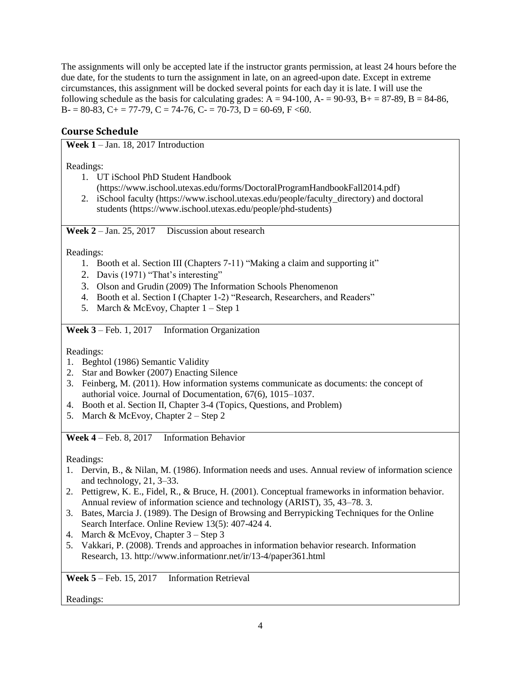The assignments will only be accepted late if the instructor grants permission, at least 24 hours before the due date, for the students to turn the assignment in late, on an agreed-upon date. Except in extreme circumstances, this assignment will be docked several points for each day it is late. I will use the following schedule as the basis for calculating grades:  $A = 94-100$ ,  $A = 90-93$ ,  $B = 87-89$ ,  $B = 84-86$ ,  $B = 80-83$ ,  $C = 77-79$ ,  $C = 74-76$ ,  $C = 70-73$ ,  $D = 60-69$ ,  $F < 60$ .

# **Course Schedule**

**Week 1** – Jan. 18, 2017 Introduction

Readings:

- 1. UT iSchool PhD Student Handbook
- (https://www.ischool.utexas.edu/forms/DoctoralProgramHandbookFall2014.pdf)
- 2. iSchool faculty (https://www.ischool.utexas.edu/people/faculty\_directory) and doctoral students (https://www.ischool.utexas.edu/people/phd-students)

**Week 2** – Jan. 25, 2017 Discussion about research

Readings:

- 1. Booth et al. Section III (Chapters 7-11) "Making a claim and supporting it"
- 2. Davis (1971) "That's interesting"
- 3. Olson and Grudin (2009) The Information Schools Phenomenon
- 4. Booth et al. Section I (Chapter 1-2) "Research, Researchers, and Readers"
- 5. March & McEvoy, Chapter 1 Step 1

**Week 3** – Feb. 1, 2017 Information Organization

Readings:

- 1. Beghtol (1986) Semantic Validity
- 2. Star and Bowker (2007) Enacting Silence
- 3. Feinberg, M. (2011). How information systems communicate as documents: the concept of authorial voice. Journal of Documentation, 67(6), 1015–1037.
- 4. Booth et al. Section II, Chapter 3-4 (Topics, Questions, and Problem)
- 5. March & McEvoy, Chapter 2 Step 2

**Week 4** – Feb. 8, 2017 Information Behavior

Readings:

- 1. Dervin, B., & Nilan, M. (1986). Information needs and uses. Annual review of information science and technology, 21, 3–33.
- 2. Pettigrew, K. E., Fidel, R., & Bruce, H. (2001). Conceptual frameworks in information behavior. Annual review of information science and technology (ARIST), 35, 43–78. 3.
- 3. Bates, Marcia J. (1989). The Design of Browsing and Berrypicking Techniques for the Online Search Interface. Online Review 13(5): 407-424 4.
- 4. March & McEvoy, Chapter 3 Step 3
- 5. Vakkari, P. (2008). Trends and approaches in information behavior research. Information Research, 13. http://www.informationr.net/ir/13-4/paper361.html

**Week 5** – Feb. 15, 2017 Information Retrieval

Readings: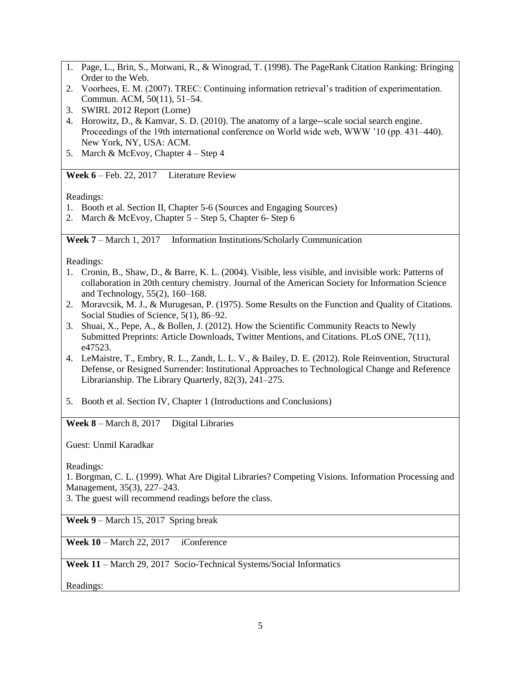- 1. Page, L., Brin, S., Motwani, R., & Winograd, T. (1998). The PageRank Citation Ranking: Bringing Order to the Web.
- 2. Voorhees, E. M. (2007). TREC: Continuing information retrieval's tradition of experimentation. Commun. ACM, 50(11), 51–54.
- 3. SWIRL 2012 Report (Lorne)
- 4. Horowitz, D., & Kamvar, S. D. (2010). The anatomy of a large--scale social search engine. Proceedings of the 19th international conference on World wide web, WWW '10 (pp. 431–440). New York, NY, USA: ACM.
- 5. March & McEvoy, Chapter 4 Step 4

**Week 6** – Feb. 22, 2017 Literature Review

Readings:

- 1. Booth et al. Section II, Chapter 5-6 (Sources and Engaging Sources)
- 2. March & McEvoy, Chapter 5 Step 5, Chapter 6- Step 6

**Week 7** – March 1, 2017 Information Institutions/Scholarly Communication

Readings:

- 1. Cronin, B., Shaw, D., & Barre, K. L. (2004). Visible, less visible, and invisible work: Patterns of collaboration in 20th century chemistry. Journal of the American Society for Information Science and Technology, 55(2), 160–168.
- 2. Moravcsik, M. J., & Murugesan, P. (1975). Some Results on the Function and Quality of Citations. Social Studies of Science, 5(1), 86–92.
- 3. Shuai, X., Pepe, A., & Bollen, J. (2012). How the Scientific Community Reacts to Newly Submitted Preprints: Article Downloads, Twitter Mentions, and Citations. PLoS ONE, 7(11), e47523.
- 4. LeMaistre, T., Embry, R. L., Zandt, L. L. V., & Bailey, D. E. (2012). Role Reinvention, Structural Defense, or Resigned Surrender: Institutional Approaches to Technological Change and Reference Librarianship. The Library Quarterly, 82(3), 241–275.
- 5. Booth et al. Section IV, Chapter 1 (Introductions and Conclusions)

Week 8 – March 8, 2017 Digital Libraries

Guest: Unmil Karadkar

Readings:

1. Borgman, C. L. (1999). What Are Digital Libraries? Competing Visions. Information Processing and Management, 35(3), 227–243.

3. The guest will recommend readings before the class.

**Week 9** – March 15, 2017 Spring break

**Week 10** – March 22, 2017 iConference

**Week 11** – March 29, 2017 Socio-Technical Systems/Social Informatics

Readings: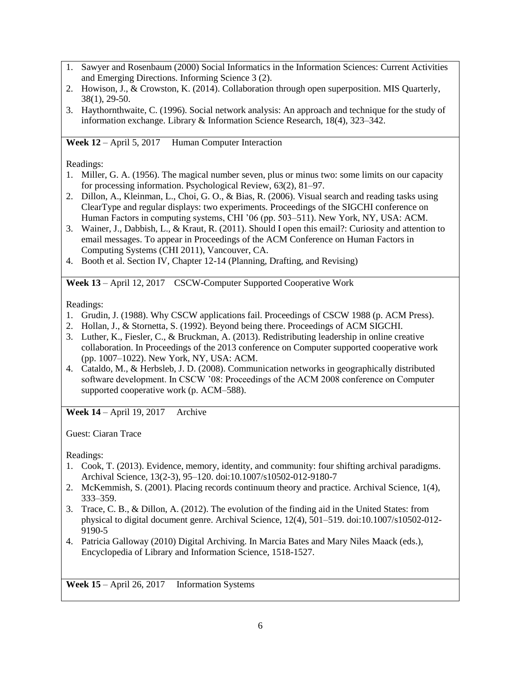- 1. Sawyer and Rosenbaum (2000) Social Informatics in the Information Sciences: Current Activities and Emerging Directions. Informing Science 3 (2).
- 2. Howison, J., & Crowston, K. (2014). Collaboration through open superposition. MIS Quarterly, 38(1), 29-50.
- 3. Haythornthwaite, C. (1996). Social network analysis: An approach and technique for the study of information exchange. Library & Information Science Research, 18(4), 323–342.

Week 12 – April 5, 2017 Human Computer Interaction

Readings:

- 1. Miller, G. A. (1956). The magical number seven, plus or minus two: some limits on our capacity for processing information. Psychological Review, 63(2), 81–97.
- 2. Dillon, A., Kleinman, L., Choi, G. O., & Bias, R. (2006). Visual search and reading tasks using ClearType and regular displays: two experiments. Proceedings of the SIGCHI conference on Human Factors in computing systems, CHI '06 (pp. 503–511). New York, NY, USA: ACM.
- 3. Wainer, J., Dabbish, L., & Kraut, R. (2011). Should I open this email?: Curiosity and attention to email messages. To appear in Proceedings of the ACM Conference on Human Factors in Computing Systems (CHI 2011), Vancouver, CA.
- 4. Booth et al. Section IV, Chapter 12-14 (Planning, Drafting, and Revising)

**Week 13** – April 12, 2017 CSCW-Computer Supported Cooperative Work

Readings:

- 1. Grudin, J. (1988). Why CSCW applications fail. Proceedings of CSCW 1988 (p. ACM Press).
- 2. Hollan, J., & Stornetta, S. (1992). Beyond being there. Proceedings of ACM SIGCHI.
- 3. Luther, K., Fiesler, C., & Bruckman, A. (2013). Redistributing leadership in online creative collaboration. In Proceedings of the 2013 conference on Computer supported cooperative work (pp. 1007–1022). New York, NY, USA: ACM.
- 4. Cataldo, M., & Herbsleb, J. D. (2008). Communication networks in geographically distributed software development. In CSCW '08: Proceedings of the ACM 2008 conference on Computer supported cooperative work (p. ACM–588).

**Week 14** – April 19, 2017 Archive

Guest: Ciaran Trace

Readings:

- 1. Cook, T. (2013). Evidence, memory, identity, and community: four shifting archival paradigms. Archival Science, 13(2-3), 95–120. doi:10.1007/s10502-012-9180-7
- 2. McKemmish, S. (2001). Placing records continuum theory and practice. Archival Science, 1(4), 333–359.
- 3. Trace, C. B., & Dillon, A. (2012). The evolution of the finding aid in the United States: from physical to digital document genre. Archival Science, 12(4), 501–519. doi:10.1007/s10502-012- 9190-5
- 4. Patricia Galloway (2010) Digital Archiving. In Marcia Bates and Mary Niles Maack (eds.), Encyclopedia of Library and Information Science, 1518-1527.

Week 15 – April 26, 2017 Information Systems